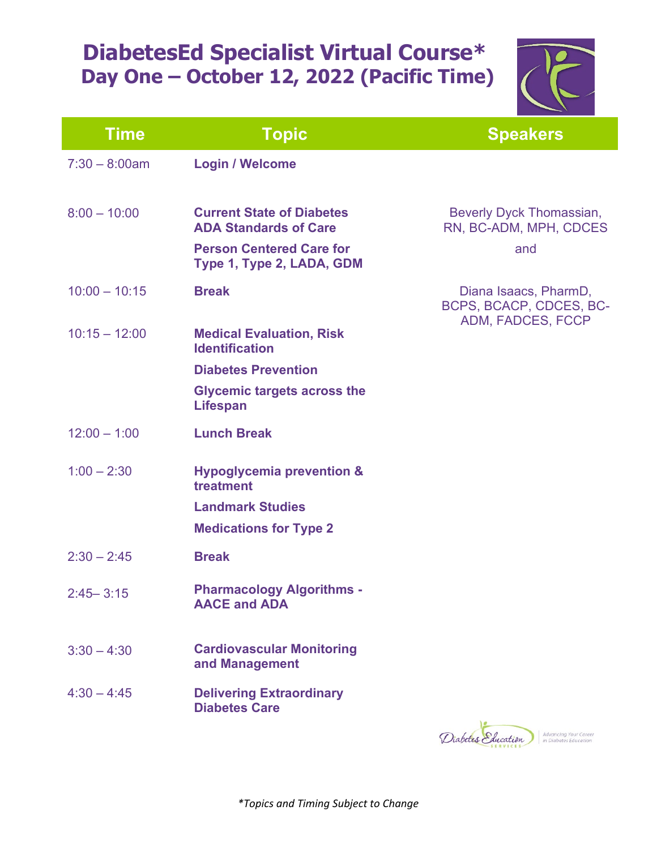## **DiabetesEd Specialist Virtual Course\* Day One – October 12, 2022 (Pacific Time)**



| <b>Time</b>      | <b>Topic</b>                                                                                                                     | <b>Speakers</b>                                                      |
|------------------|----------------------------------------------------------------------------------------------------------------------------------|----------------------------------------------------------------------|
| $7:30 - 8:00$ am | <b>Login / Welcome</b>                                                                                                           |                                                                      |
| $8:00 - 10:00$   | <b>Current State of Diabetes</b><br><b>ADA Standards of Care</b><br><b>Person Centered Care for</b><br>Type 1, Type 2, LADA, GDM | Beverly Dyck Thomassian,<br>RN, BC-ADM, MPH, CDCES<br>and            |
| $10:00 - 10:15$  | <b>Break</b>                                                                                                                     | Diana Isaacs, PharmD,<br>BCPS, BCACP, CDCES, BC-                     |
| $10:15 - 12:00$  | <b>Medical Evaluation, Risk</b><br><b>Identification</b>                                                                         | ADM, FADCES, FCCP                                                    |
|                  | <b>Diabetes Prevention</b>                                                                                                       |                                                                      |
|                  | <b>Glycemic targets across the</b><br><b>Lifespan</b>                                                                            |                                                                      |
| $12:00 - 1:00$   | <b>Lunch Break</b>                                                                                                               |                                                                      |
| $1:00 - 2:30$    | <b>Hypoglycemia prevention &amp;</b><br>treatment                                                                                |                                                                      |
|                  | <b>Landmark Studies</b>                                                                                                          |                                                                      |
|                  | <b>Medications for Type 2</b>                                                                                                    |                                                                      |
| $2:30 - 2:45$    | <b>Break</b>                                                                                                                     |                                                                      |
| $2:45 - 3:15$    | <b>Pharmacology Algorithms -</b><br><b>AACE and ADA</b>                                                                          |                                                                      |
| $3:30 - 4:30$    | <b>Cardiovascular Monitoring</b><br>and Management                                                                               |                                                                      |
| $4:30 - 4:45$    | <b>Delivering Extraordinary</b><br><b>Diabetes Care</b>                                                                          |                                                                      |
|                  |                                                                                                                                  | Advancing Your Career<br>Diabetes Education<br>in Diabetes Education |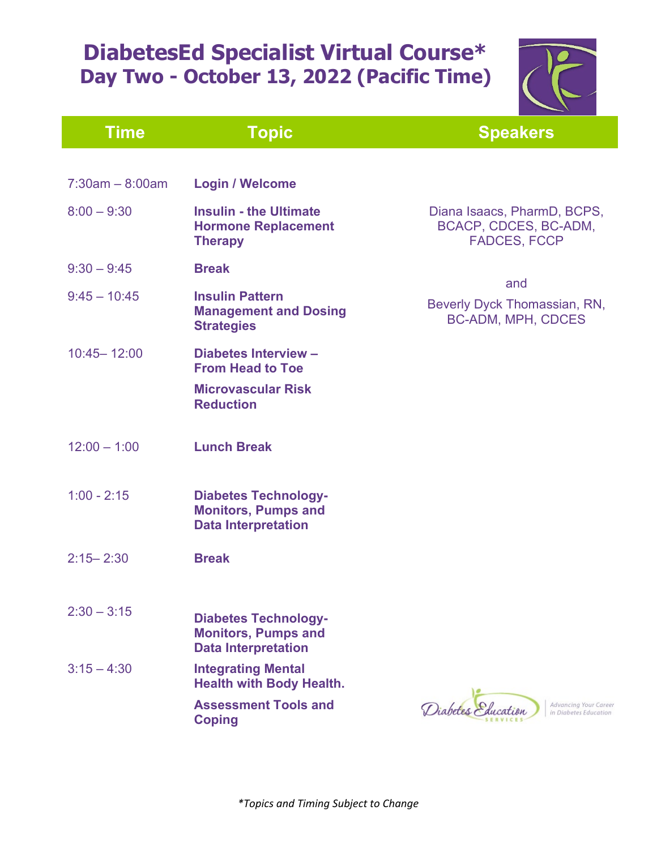## **DiabetesEd Specialist Virtual Course\* Day Two - October 13, 2022 (Pacific Time)**



| <b>Time</b>          | <b>Topic</b>                                                                            | <b>Speakers</b>                                                             |
|----------------------|-----------------------------------------------------------------------------------------|-----------------------------------------------------------------------------|
|                      |                                                                                         |                                                                             |
| $7:30$ am $-8:00$ am | <b>Login / Welcome</b>                                                                  |                                                                             |
| $8:00 - 9:30$        | <b>Insulin - the Ultimate</b><br><b>Hormone Replacement</b><br><b>Therapy</b>           | Diana Isaacs, PharmD, BCPS,<br>BCACP, CDCES, BC-ADM,<br><b>FADCES, FCCP</b> |
| $9:30 - 9:45$        | <b>Break</b>                                                                            |                                                                             |
| $9:45 - 10:45$       | <b>Insulin Pattern</b><br><b>Management and Dosing</b><br><b>Strategies</b>             | and<br>Beverly Dyck Thomassian, RN,<br><b>BC-ADM, MPH, CDCES</b>            |
| $10:45 - 12:00$      | Diabetes Interview -<br><b>From Head to Toe</b>                                         |                                                                             |
|                      | <b>Microvascular Risk</b><br><b>Reduction</b>                                           |                                                                             |
| $12:00 - 1:00$       | <b>Lunch Break</b>                                                                      |                                                                             |
| $1:00 - 2:15$        | <b>Diabetes Technology-</b><br><b>Monitors, Pumps and</b><br><b>Data Interpretation</b> |                                                                             |
| $2:15 - 2:30$        | <b>Break</b>                                                                            |                                                                             |
| $2:30 - 3:15$        | <b>Diabetes Technology-</b><br><b>Monitors, Pumps and</b><br><b>Data Interpretation</b> |                                                                             |
| $3:15 - 4:30$        | <b>Integrating Mental</b><br><b>Health with Body Health.</b>                            |                                                                             |
|                      | <b>Assessment Tools and</b><br><b>Coping</b>                                            | Diabetes Education<br>Advancing Your Career<br>in Diabetes Education        |